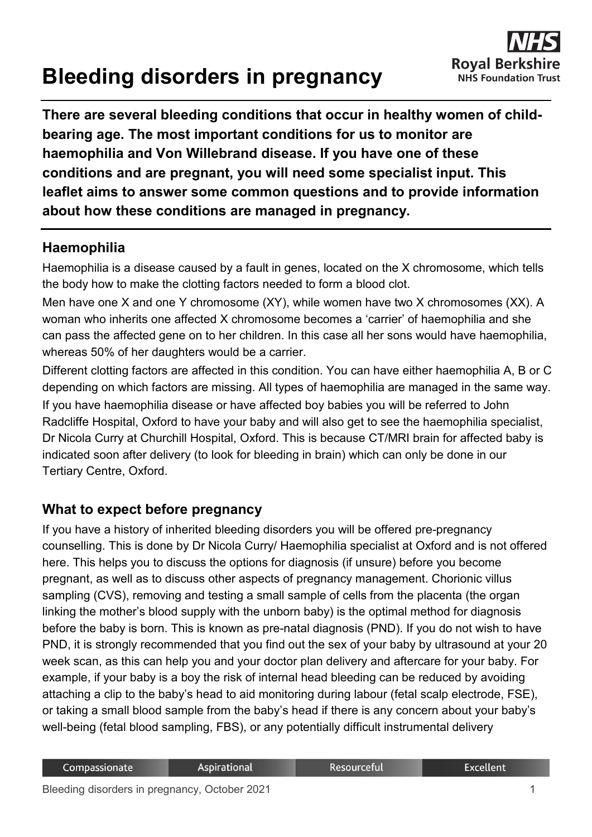# **Bleeding disorders in pregnancy**

**There are several bleeding conditions that occur in healthy women of childbearing age. The most important conditions for us to monitor are haemophilia and Von Willebrand disease. If you have one of these conditions and are pregnant, you will need some specialist input. This leaflet aims to answer some common questions and to provide information about how these conditions are managed in pregnancy.**

# **Haemophilia**

Haemophilia is a disease caused by a fault in genes, located on the X chromosome, which tells the body how to make the clotting factors needed to form a blood clot.

Men have one X and one Y chromosome (XY), while women have two X chromosomes (XX). A woman who inherits one affected X chromosome becomes a 'carrier' of haemophilia and she can pass the affected gene on to her children. In this case all her sons would have haemophilia, whereas 50% of her daughters would be a carrier.

Different clotting factors are affected in this condition. You can have either haemophilia A, B or C depending on which factors are missing. All types of haemophilia are managed in the same way. If you have haemophilia disease or have affected boy babies you will be referred to John Radcliffe Hospital, Oxford to have your baby and will also get to see the haemophilia specialist, Dr Nicola Curry at Churchill Hospital, Oxford. This is because CT/MRI brain for affected baby is indicated soon after delivery (to look for bleeding in brain) which can only be done in our Tertiary Centre, Oxford.

# **What to expect before pregnancy**

If you have a history of inherited bleeding disorders you will be offered pre-pregnancy counselling. This is done by Dr Nicola Curry/ Haemophilia specialist at Oxford and is not offered here. This helps you to discuss the options for diagnosis (if unsure) before you become pregnant, as well as to discuss other aspects of pregnancy management. Chorionic villus sampling (CVS), removing and testing a small sample of cells from the placenta (the organ linking the mother's blood supply with the unborn baby) is the optimal method for diagnosis before the baby is born. This is known as pre-natal diagnosis (PND). If you do not wish to have PND, it is strongly recommended that you find out the sex of your baby by ultrasound at your 20 week scan, as this can help you and your doctor plan delivery and aftercare for your baby. For example, if your baby is a boy the risk of internal head bleeding can be reduced by avoiding attaching a clip to the baby's head to aid monitoring during labour (fetal scalp electrode, FSE), or taking a small blood sample from the baby's head if there is any concern about your baby's well-being (fetal blood sampling, FBS), or any potentially difficult instrumental delivery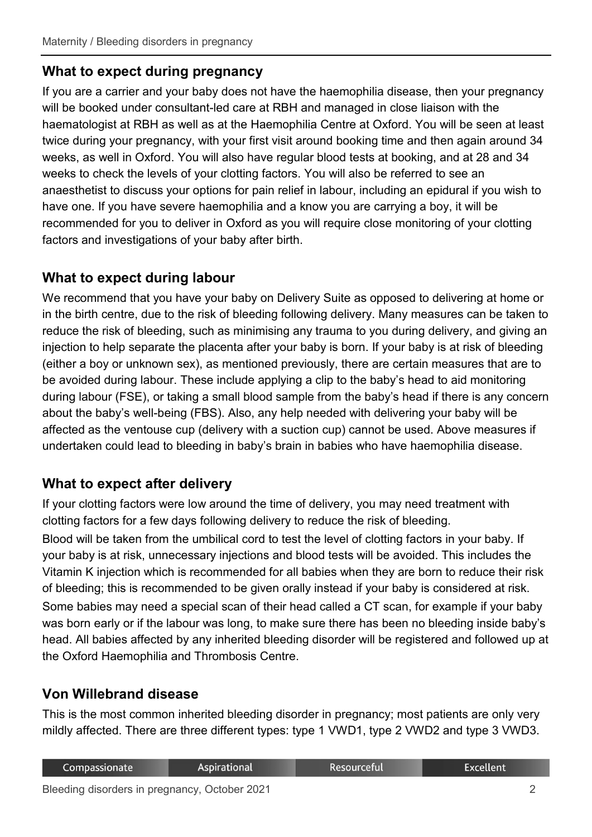# **What to expect during pregnancy**

If you are a carrier and your baby does not have the haemophilia disease, then your pregnancy will be booked under consultant-led care at RBH and managed in close liaison with the haematologist at RBH as well as at the Haemophilia Centre at Oxford. You will be seen at least twice during your pregnancy, with your first visit around booking time and then again around 34 weeks, as well in Oxford. You will also have regular blood tests at booking, and at 28 and 34 weeks to check the levels of your clotting factors. You will also be referred to see an anaesthetist to discuss your options for pain relief in labour, including an epidural if you wish to have one. If you have severe haemophilia and a know you are carrying a boy, it will be recommended for you to deliver in Oxford as you will require close monitoring of your clotting factors and investigations of your baby after birth.

# **What to expect during labour**

We recommend that you have your baby on Delivery Suite as opposed to delivering at home or in the birth centre, due to the risk of bleeding following delivery. Many measures can be taken to reduce the risk of bleeding, such as minimising any trauma to you during delivery, and giving an injection to help separate the placenta after your baby is born. If your baby is at risk of bleeding (either a boy or unknown sex), as mentioned previously, there are certain measures that are to be avoided during labour. These include applying a clip to the baby's head to aid monitoring during labour (FSE), or taking a small blood sample from the baby's head if there is any concern about the baby's well-being (FBS). Also, any help needed with delivering your baby will be affected as the ventouse cup (delivery with a suction cup) cannot be used. Above measures if undertaken could lead to bleeding in baby's brain in babies who have haemophilia disease.

# **What to expect after delivery**

If your clotting factors were low around the time of delivery, you may need treatment with clotting factors for a few days following delivery to reduce the risk of bleeding. Blood will be taken from the umbilical cord to test the level of clotting factors in your baby. If your baby is at risk, unnecessary injections and blood tests will be avoided. This includes the Vitamin K injection which is recommended for all babies when they are born to reduce their risk of bleeding; this is recommended to be given orally instead if your baby is considered at risk. Some babies may need a special scan of their head called a CT scan, for example if your baby was born early or if the labour was long, to make sure there has been no bleeding inside baby's head. All babies affected by any inherited bleeding disorder will be registered and followed up at the Oxford Haemophilia and Thrombosis Centre.

#### **Von Willebrand disease**

This is the most common inherited bleeding disorder in pregnancy; most patients are only very mildly affected. There are three different types: type 1 VWD1, type 2 VWD2 and type 3 VWD3.